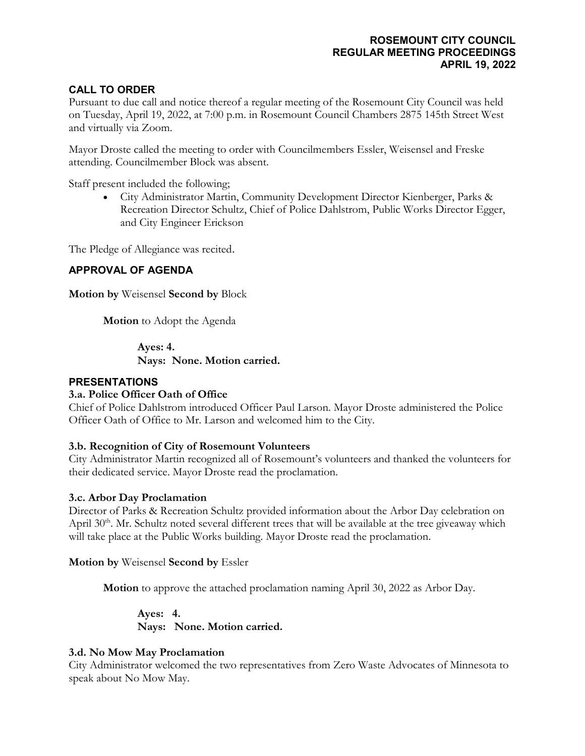# **CALL TO ORDER**

Pursuant to due call and notice thereof a regular meeting of the Rosemount City Council was held on Tuesday, April 19, 2022, at 7:00 p.m. in Rosemount Council Chambers 2875 145th Street West and virtually via Zoom.

Mayor Droste called the meeting to order with Councilmembers Essler, Weisensel and Freske attending. Councilmember Block was absent.

Staff present included the following;

• City Administrator Martin, Community Development Director Kienberger, Parks & Recreation Director Schultz, Chief of Police Dahlstrom, Public Works Director Egger, and City Engineer Erickson

The Pledge of Allegiance was recited.

# **APPROVAL OF AGENDA**

**Motion by** Weisensel **Second by** Block

**Motion** to Adopt the Agenda

**Ayes: 4. Nays: None. Motion carried.**

### **PRESENTATIONS**

# **3.a. Police Officer Oath of Office**

Chief of Police Dahlstrom introduced Officer Paul Larson. Mayor Droste administered the Police Officer Oath of Office to Mr. Larson and welcomed him to the City.

# **3.b. Recognition of City of Rosemount Volunteers**

City Administrator Martin recognized all of Rosemount's volunteers and thanked the volunteers for their dedicated service. Mayor Droste read the proclamation.

#### **3.c. Arbor Day Proclamation**

Director of Parks & Recreation Schultz provided information about the Arbor Day celebration on April 30<sup>th</sup>. Mr. Schultz noted several different trees that will be available at the tree giveaway which will take place at the Public Works building. Mayor Droste read the proclamation.

**Motion by** Weisensel **Second by** Essler

**Motion** to approve the attached proclamation naming April 30, 2022 as Arbor Day.

**Ayes: 4. Nays: None. Motion carried.**

# **3.d. No Mow May Proclamation**

City Administrator welcomed the two representatives from Zero Waste Advocates of Minnesota to speak about No Mow May.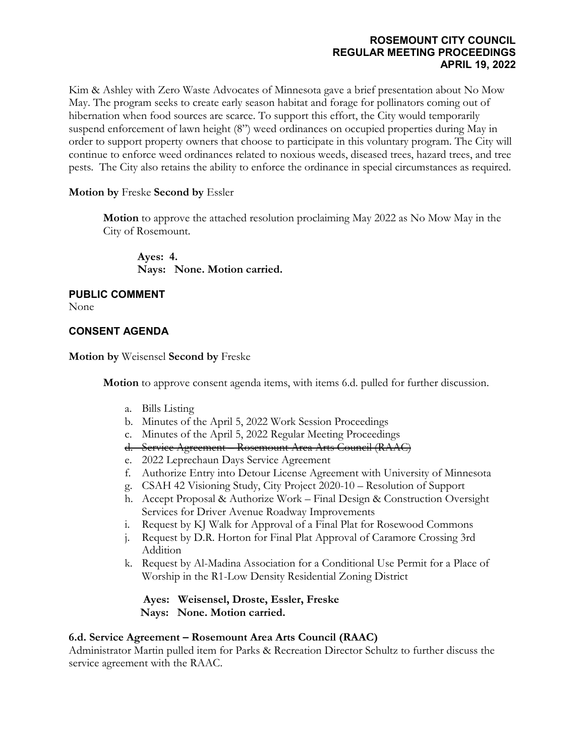Kim & Ashley with Zero Waste Advocates of Minnesota gave a brief presentation about No Mow May. The program seeks to create early season habitat and forage for pollinators coming out of hibernation when food sources are scarce. To support this effort, the City would temporarily suspend enforcement of lawn height (8") weed ordinances on occupied properties during May in order to support property owners that choose to participate in this voluntary program. The City will continue to enforce weed ordinances related to noxious weeds, diseased trees, hazard trees, and tree pests. The City also retains the ability to enforce the ordinance in special circumstances as required.

# **Motion by** Freske **Second by** Essler

**Motion** to approve the attached resolution proclaiming May 2022 as No Mow May in the City of Rosemount.

**Ayes: 4. Nays: None. Motion carried.**

# **PUBLIC COMMENT**

None

# **CONSENT AGENDA**

**Motion by** Weisensel **Second by** Freske

**Motion** to approve consent agenda items, with items 6.d. pulled for further discussion.

- a. Bills Listing
- b. Minutes of the April 5, 2022 Work Session Proceedings
- c. Minutes of the April 5, 2022 Regular Meeting Proceedings
- d. Service Agreement Rosemount Area Arts Council (RAAC)
- e. 2022 Leprechaun Days Service Agreement
- f. Authorize Entry into Detour License Agreement with University of Minnesota
- g. CSAH 42 Visioning Study, City Project 2020-10 Resolution of Support
- h. Accept Proposal & Authorize Work Final Design & Construction Oversight Services for Driver Avenue Roadway Improvements
- i. Request by KJ Walk for Approval of a Final Plat for Rosewood Commons
- j. Request by D.R. Horton for Final Plat Approval of Caramore Crossing 3rd Addition
- k. Request by Al-Madina Association for a Conditional Use Permit for a Place of Worship in the R1-Low Density Residential Zoning District

**Ayes: Weisensel, Droste, Essler, Freske Nays: None. Motion carried.**

#### **6.d. Service Agreement – Rosemount Area Arts Council (RAAC)**

Administrator Martin pulled item for Parks & Recreation Director Schultz to further discuss the service agreement with the RAAC.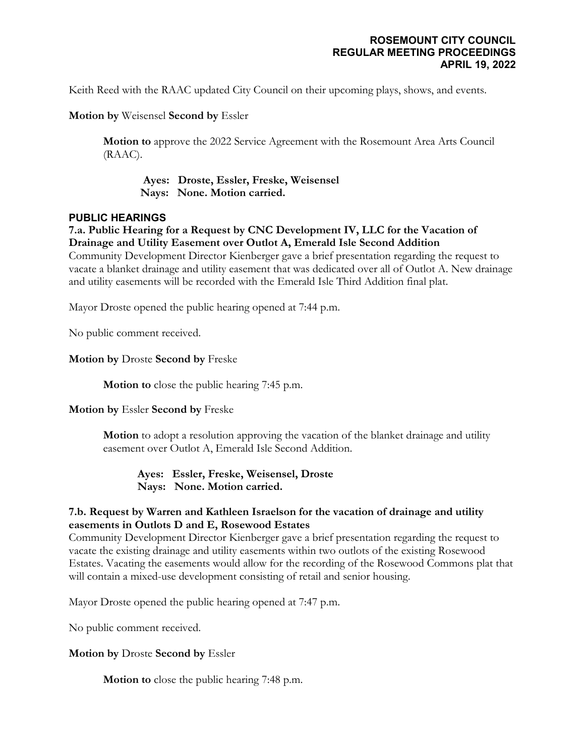Keith Reed with the RAAC updated City Council on their upcoming plays, shows, and events.

**Motion by** Weisensel **Second by** Essler

**Motion to** approve the 2022 Service Agreement with the Rosemount Area Arts Council (RAAC).

**Ayes: Droste, Essler, Freske, Weisensel Nays: None. Motion carried.**

### **PUBLIC HEARINGS**

**7.a. Public Hearing for a Request by CNC Development IV, LLC for the Vacation of Drainage and Utility Easement over Outlot A, Emerald Isle Second Addition**

Community Development Director Kienberger gave a brief presentation regarding the request to vacate a blanket drainage and utility easement that was dedicated over all of Outlot A. New drainage and utility easements will be recorded with the Emerald Isle Third Addition final plat.

Mayor Droste opened the public hearing opened at 7:44 p.m.

No public comment received.

**Motion by** Droste **Second by** Freske

**Motion to** close the public hearing 7:45 p.m.

#### **Motion by** Essler **Second by** Freske

**Motion** to adopt a resolution approving the vacation of the blanket drainage and utility easement over Outlot A, Emerald Isle Second Addition.

**Ayes: Essler, Freske, Weisensel, Droste Nays: None. Motion carried.**

# **7.b. Request by Warren and Kathleen Israelson for the vacation of drainage and utility easements in Outlots D and E, Rosewood Estates**

Community Development Director Kienberger gave a brief presentation regarding the request to vacate the existing drainage and utility easements within two outlots of the existing Rosewood Estates. Vacating the easements would allow for the recording of the Rosewood Commons plat that will contain a mixed-use development consisting of retail and senior housing.

Mayor Droste opened the public hearing opened at 7:47 p.m.

No public comment received.

**Motion by** Droste **Second by** Essler

**Motion to** close the public hearing 7:48 p.m.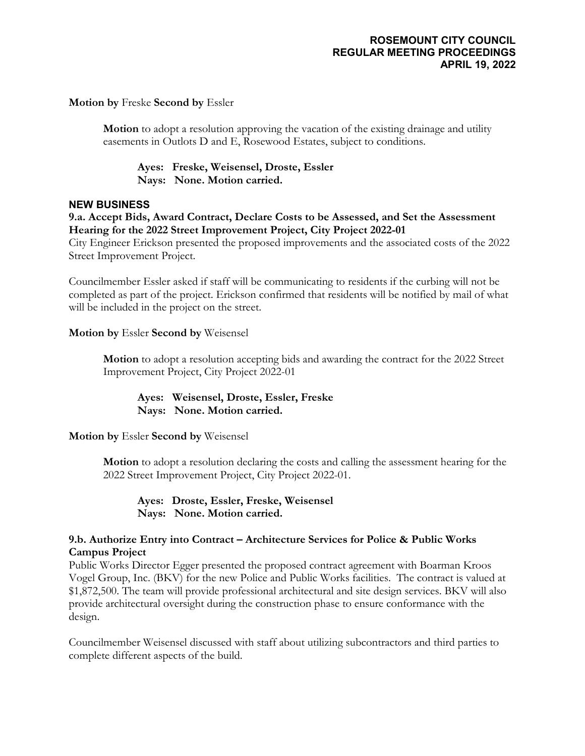### **Motion by** Freske **Second by** Essler

**Motion** to adopt a resolution approving the vacation of the existing drainage and utility easements in Outlots D and E, Rosewood Estates, subject to conditions.

**Ayes: Freske, Weisensel, Droste, Essler Nays: None. Motion carried.**

#### **NEW BUSINESS**

### **9.a. Accept Bids, Award Contract, Declare Costs to be Assessed, and Set the Assessment Hearing for the 2022 Street Improvement Project, City Project 2022-01**

City Engineer Erickson presented the proposed improvements and the associated costs of the 2022 Street Improvement Project.

Councilmember Essler asked if staff will be communicating to residents if the curbing will not be completed as part of the project. Erickson confirmed that residents will be notified by mail of what will be included in the project on the street.

### **Motion by** Essler **Second by** Weisensel

**Motion** to adopt a resolution accepting bids and awarding the contract for the 2022 Street Improvement Project, City Project 2022-01

### **Ayes: Weisensel, Droste, Essler, Freske Nays: None. Motion carried.**

# **Motion by** Essler **Second by** Weisensel

**Motion** to adopt a resolution declaring the costs and calling the assessment hearing for the 2022 Street Improvement Project, City Project 2022-01.

**Ayes: Droste, Essler, Freske, Weisensel Nays: None. Motion carried.**

### **9.b. Authorize Entry into Contract – Architecture Services for Police & Public Works Campus Project**

Public Works Director Egger presented the proposed contract agreement with Boarman Kroos Vogel Group, Inc. (BKV) for the new Police and Public Works facilities. The contract is valued at \$1,872,500. The team will provide professional architectural and site design services. BKV will also provide architectural oversight during the construction phase to ensure conformance with the design.

Councilmember Weisensel discussed with staff about utilizing subcontractors and third parties to complete different aspects of the build.